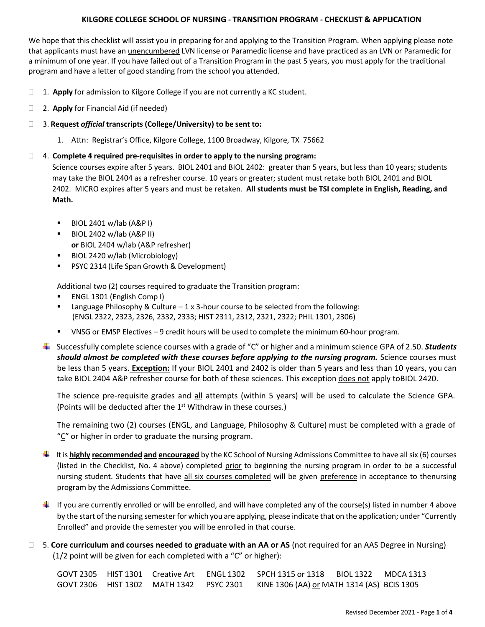# **KILGORE COLLEGE SCHOOL OF NURSING - TRANSITION PROGRAM - CHECKLIST & APPLICATION**

We hope that this checklist will assist you in preparing for and applying to the Transition Program. When applying please note that applicants must have an unencumbered LVN license or Paramedic license and have practiced as an LVN or Paramedic for a minimum of one year. If you have failed out of a Transition Program in the past 5 years, you must apply for the traditional program and have a letter of good standing from the school you attended.

- □ 1. **Apply** for admission to Kilgore College if you are not currently a KC student.
- 2. **Apply** for Financial Aid (if needed)
- 3. **Request** *official* **transcripts (College/University) to be sent to:**
	- 1. Attn: Registrar's Office, Kilgore College, 1100 Broadway, Kilgore, TX 75662

#### 4. **Complete 4 required pre-requisites in order to apply to the nursing program:**

Science courses expire after 5 years. BIOL 2401 and BIOL 2402: greater than 5 years, but less than 10 years; students may take the BIOL 2404 as a refresher course. 10 years or greater; student must retake both BIOL 2401 and BIOL 2402. MICRO expires after 5 years and must be retaken. **All students must be TSI complete in English, Reading, and Math.**

- $\blacksquare$  BIOL 2401 w/lab (A&P I)
- BIOL 2402 w/lab (A&P II) **or** BIOL 2404 w/lab (A&P refresher)
- BIOL 2420 w/lab (Microbiology)
- PSYC 2314 (Life Span Growth & Development)

Additional two (2) courses required to graduate the Transition program:

- ENGL 1301 (English Comp I)
- **■** Language Philosophy & Culture  $-1 \times 3$ -hour course to be selected from the following: (ENGL 2322, 2323, 2326, 2332, 2333; HIST 2311, 2312, 2321, 2322; PHIL 1301, 2306)
- VNSG or EMSP Electives 9 credit hours will be used to complete the minimum 60-hour program.
- Successfully complete science courses with a grade of "C" or higher and a minimum science GPA of 2.50. *Students should almost be completed with these courses before applying to the nursing program.* Science courses must be less than 5 years. **Exception:** If your BIOL 2401 and 2402 is older than 5 years and less than 10 years, you can take BIOL 2404 A&P refresher course for both of these sciences. This exception does not apply toBIOL 2420.

The science pre-requisite grades and all attempts (within 5 years) will be used to calculate the Science GPA. (Points will be deducted after the  $1<sup>st</sup>$  Withdraw in these courses.)

The remaining two (2) courses (ENGL, and Language, Philosophy & Culture) must be completed with a grade of "C" or higher in order to graduate the nursing program.

- It is **highly recommended and encouraged** by the KC School of Nursing Admissions Committee to have all six (6) courses (listed in the Checklist, No. 4 above) completed prior to beginning the nursing program in order to be a successful nursing student. Students that have all six courses completed will be given preference in acceptance to thenursing program by the Admissions Committee.
- If you are currently enrolled or will be enrolled, and will have completed any of the course(s) listed in number 4 above by the start of the nursing semester for which you are applying, please indicate that on the application; under "Currently Enrolled" and provide the semester you will be enrolled in that course.
- 5. **Core curriculum and courses needed to graduate with an AA or AS** (not required for an AAS Degree in Nursing) (1/2 point will be given for each completed with a "C" or higher):

|  |                                         | GOVT 2305 HIST 1301 Creative Art ENGL 1302 SPCH 1315 or 1318 BIOL 1322 MDCA 1313 |  |
|--|-----------------------------------------|----------------------------------------------------------------------------------|--|
|  | GOVT 2306 HIST 1302 MATH 1342 PSYC 2301 | KINE 1306 (AA) <u>or</u> MATH 1314 (AS)  BCIS 1305                               |  |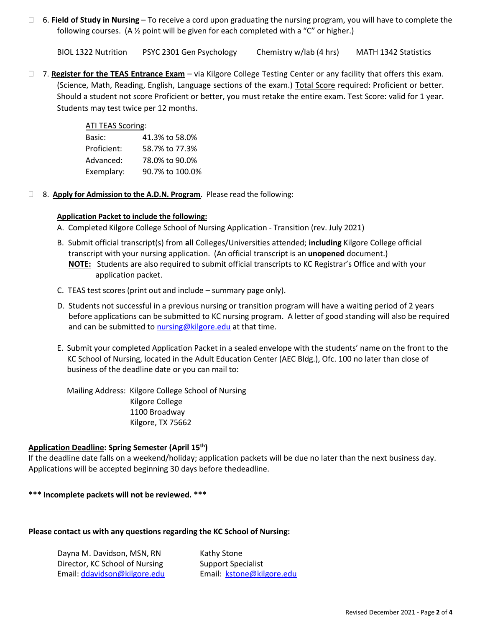6. **Field of Study in Nursing** – To receive a cord upon graduating the nursing program, you will have to complete the following courses. (A  $\frac{1}{2}$  point will be given for each completed with a "C" or higher.)

BIOL 1322 Nutrition PSYC 2301 Gen Psychology Chemistry w/lab (4 hrs) MATH 1342 Statistics

 7. **Register for the TEAS Entrance Exam** – via Kilgore College Testing Center or any facility that offers this exam. (Science, Math, Reading, English, Language sections of the exam.) Total Score required: Proficient or better. Should a student not score Proficient or better, you must retake the entire exam. Test Score: valid for 1 year. Students may test twice per 12 months.

# ATI TEAS Scoring:

| Basic:      | 41.3% to 58.0%  |
|-------------|-----------------|
| Proficient: | 58.7% to 77.3%  |
| Advanced:   | 78.0% to 90.0%  |
| Exemplary:  | 90.7% to 100.0% |

8. **Apply for Admission to the A.D.N. Program**. Please read the following:

### **Application Packet to include the following:**

- A. Completed Kilgore College School of Nursing Application Transition (rev. July 2021)
- B. Submit official transcript(s) from **all** Colleges/Universities attended; **including** Kilgore College official transcript with your nursing application. (An official transcript is an **unopened** document.) **NOTE:** Students are also required to submit official transcripts to KC Registrar's Office and with your application packet.
- C. TEAS test scores (print out and include summary page only).
- D. Students not successful in a previous nursing or transition program will have a waiting period of 2 years before applications can be submitted to KC nursing program. A letter of good standing will also be required and can be submitted to [nursing@kilgore.edu](mailto:nursing@kilgore.edu) at that time.
- E. Submit your completed Application Packet in a sealed envelope with the students' name on the front to the KC School of Nursing, located in the Adult Education Center (AEC Bldg.), Ofc. 100 no later than close of business of the deadline date or you can mail to:

Mailing Address: Kilgore College School of Nursing Kilgore College 1100 Broadway Kilgore, TX 75662

# **Application Deadline: Spring Semester (April 15th)**

If the deadline date falls on a weekend/holiday; application packets will be due no later than the next business day. Applications will be accepted beginning 30 days before thedeadline.

#### **\*\*\* Incomplete packets will not be reviewed. \*\*\***

#### **Please contact us with any questions regarding the KC School of Nursing:**

| Dayna M. Davidson, MSN, RN     |  |
|--------------------------------|--|
| Director, KC School of Nursing |  |
| Email: ddavidson@kilgore.edu   |  |

Kathy Stone Support Specialist Email: [kstone@kilgore.edu](mailto:kstone@kilgore.edu)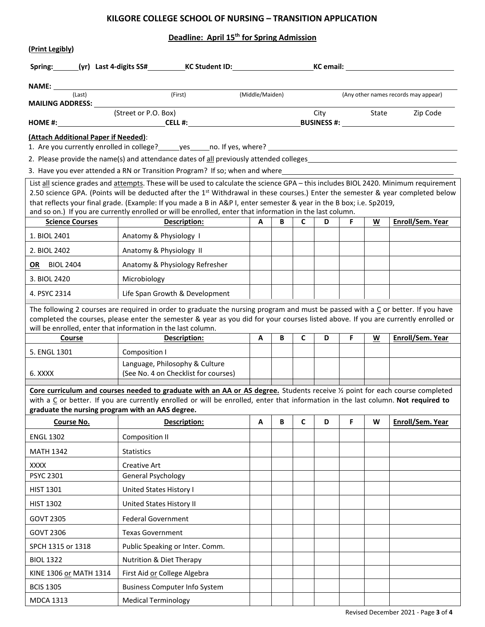# **KILGORE COLLEGE SCHOOL OF NURSING – TRANSITION APPLICATION**

# **Deadline: April 15th for Spring Admission**

| (Print Legibly)                                                                                                                                                                                                                                                                                                                                                                                                                                                                                                           |                                                                                                                                                                                                                                    |                 |   |              |            |    |   |                                      |
|---------------------------------------------------------------------------------------------------------------------------------------------------------------------------------------------------------------------------------------------------------------------------------------------------------------------------------------------------------------------------------------------------------------------------------------------------------------------------------------------------------------------------|------------------------------------------------------------------------------------------------------------------------------------------------------------------------------------------------------------------------------------|-----------------|---|--------------|------------|----|---|--------------------------------------|
|                                                                                                                                                                                                                                                                                                                                                                                                                                                                                                                           | Spring: (yr) Last 4-digits SS# KC Student ID: KC NOTE: KC Email:                                                                                                                                                                   |                 |   |              |            |    |   |                                      |
|                                                                                                                                                                                                                                                                                                                                                                                                                                                                                                                           |                                                                                                                                                                                                                                    |                 |   |              |            |    |   |                                      |
| (Last)                                                                                                                                                                                                                                                                                                                                                                                                                                                                                                                    | (First)                                                                                                                                                                                                                            | (Middle/Maiden) |   |              |            |    |   | (Any other names records may appear) |
|                                                                                                                                                                                                                                                                                                                                                                                                                                                                                                                           | (Street or P.O. Box)                                                                                                                                                                                                               |                 |   |              | City State |    |   | Zip Code                             |
| (Attach Additional Paper if Needed):                                                                                                                                                                                                                                                                                                                                                                                                                                                                                      |                                                                                                                                                                                                                                    |                 |   |              |            |    |   |                                      |
|                                                                                                                                                                                                                                                                                                                                                                                                                                                                                                                           |                                                                                                                                                                                                                                    |                 |   |              |            |    |   |                                      |
|                                                                                                                                                                                                                                                                                                                                                                                                                                                                                                                           | 2. Please provide the name(s) and attendance dates of all previously attended colleges entitled to the control of the control of the control of the control of the control of the control of the control of the control of the     |                 |   |              |            |    |   |                                      |
|                                                                                                                                                                                                                                                                                                                                                                                                                                                                                                                           | 3. Have you ever attended a RN or Transition Program? If so; when and where<br>2. Have you ever attended a RN or Transition Program? If so; when and where<br>1. The manuscription of the manuscription of the manuscription of th |                 |   |              |            |    |   |                                      |
| List all science grades and attempts. These will be used to calculate the science GPA - this includes BIOL 2420. Minimum requirement<br>2.50 science GPA. (Points will be deducted after the 1 <sup>st</sup> Withdrawal in these courses.) Enter the semester & year completed below<br>that reflects your final grade. (Example: If you made a B in A&P I, enter semester & year in the B box; i.e. Sp2019,<br>and so on.) If you are currently enrolled or will be enrolled, enter that information in the last column. |                                                                                                                                                                                                                                    |                 |   |              |            |    |   |                                      |
| <b>Science Courses</b>                                                                                                                                                                                                                                                                                                                                                                                                                                                                                                    | Description:                                                                                                                                                                                                                       | A               | B | $\mathsf{C}$ | D          | F. | W | Enroll/Sem. Year                     |
| 1. BIOL 2401                                                                                                                                                                                                                                                                                                                                                                                                                                                                                                              | Anatomy & Physiology 1                                                                                                                                                                                                             |                 |   |              |            |    |   |                                      |
| 2. BIOL 2402                                                                                                                                                                                                                                                                                                                                                                                                                                                                                                              | Anatomy & Physiology II                                                                                                                                                                                                            |                 |   |              |            |    |   |                                      |
| <b>OR</b> BIOL 2404                                                                                                                                                                                                                                                                                                                                                                                                                                                                                                       | Anatomy & Physiology Refresher                                                                                                                                                                                                     |                 |   |              |            |    |   |                                      |
| 3. BIOL 2420                                                                                                                                                                                                                                                                                                                                                                                                                                                                                                              | Microbiology                                                                                                                                                                                                                       |                 |   |              |            |    |   |                                      |
| 4. PSYC 2314                                                                                                                                                                                                                                                                                                                                                                                                                                                                                                              | Life Span Growth & Development                                                                                                                                                                                                     |                 |   |              |            |    |   |                                      |
| The following 2 courses are required in order to graduate the nursing program and must be passed with a $C$ or better. If you have<br>completed the courses, please enter the semester & year as you did for your courses listed above. If you are currently enrolled or<br>will be enrolled, enter that information in the last column.                                                                                                                                                                                  |                                                                                                                                                                                                                                    |                 |   |              |            |    |   |                                      |
| Course                                                                                                                                                                                                                                                                                                                                                                                                                                                                                                                    | Description:                                                                                                                                                                                                                       | A               | B | $\mathsf{C}$ | D          | F. | W | Enroll/Sem. Year                     |
| 5. ENGL 1301                                                                                                                                                                                                                                                                                                                                                                                                                                                                                                              | Composition I                                                                                                                                                                                                                      |                 |   |              |            |    |   |                                      |
| 6. XXXX                                                                                                                                                                                                                                                                                                                                                                                                                                                                                                                   | Language, Philosophy & Culture<br>(See No. 4 on Checklist for courses)                                                                                                                                                             |                 |   |              |            |    |   |                                      |
| Core curriculum and courses needed to graduate with an AA or AS degree. Students receive 1/2 point for each course completed<br>with a C or better. If you are currently enrolled or will be enrolled, enter that information in the last column. Not required to<br>graduate the nursing program with an AAS degree.                                                                                                                                                                                                     |                                                                                                                                                                                                                                    |                 |   |              |            |    |   |                                      |
| Course No.                                                                                                                                                                                                                                                                                                                                                                                                                                                                                                                | <b>Description:</b>                                                                                                                                                                                                                | A               | В | C            | D          | F. | W | Enroll/Sem. Year                     |
| <b>ENGL 1302</b>                                                                                                                                                                                                                                                                                                                                                                                                                                                                                                          | <b>Composition II</b>                                                                                                                                                                                                              |                 |   |              |            |    |   |                                      |
| <b>MATH 1342</b>                                                                                                                                                                                                                                                                                                                                                                                                                                                                                                          | <b>Statistics</b>                                                                                                                                                                                                                  |                 |   |              |            |    |   |                                      |
| XXXX                                                                                                                                                                                                                                                                                                                                                                                                                                                                                                                      | Creative Art                                                                                                                                                                                                                       |                 |   |              |            |    |   |                                      |
| <b>PSYC 2301</b>                                                                                                                                                                                                                                                                                                                                                                                                                                                                                                          | General Psychology                                                                                                                                                                                                                 |                 |   |              |            |    |   |                                      |
| <b>HIST 1301</b>                                                                                                                                                                                                                                                                                                                                                                                                                                                                                                          | United States History I                                                                                                                                                                                                            |                 |   |              |            |    |   |                                      |
| <b>HIST 1302</b>                                                                                                                                                                                                                                                                                                                                                                                                                                                                                                          | United States History II                                                                                                                                                                                                           |                 |   |              |            |    |   |                                      |
| <b>GOVT 2305</b>                                                                                                                                                                                                                                                                                                                                                                                                                                                                                                          | <b>Federal Government</b>                                                                                                                                                                                                          |                 |   |              |            |    |   |                                      |
| GOVT 2306                                                                                                                                                                                                                                                                                                                                                                                                                                                                                                                 | <b>Texas Government</b>                                                                                                                                                                                                            |                 |   |              |            |    |   |                                      |
| SPCH 1315 or 1318                                                                                                                                                                                                                                                                                                                                                                                                                                                                                                         | Public Speaking or Inter. Comm.                                                                                                                                                                                                    |                 |   |              |            |    |   |                                      |
| <b>BIOL 1322</b>                                                                                                                                                                                                                                                                                                                                                                                                                                                                                                          | Nutrition & Diet Therapy                                                                                                                                                                                                           |                 |   |              |            |    |   |                                      |
| KINE 1306 or MATH 1314                                                                                                                                                                                                                                                                                                                                                                                                                                                                                                    | First Aid or College Algebra                                                                                                                                                                                                       |                 |   |              |            |    |   |                                      |
| <b>BCIS 1305</b>                                                                                                                                                                                                                                                                                                                                                                                                                                                                                                          | <b>Business Computer Info System</b>                                                                                                                                                                                               |                 |   |              |            |    |   |                                      |
| <b>MDCA 1313</b>                                                                                                                                                                                                                                                                                                                                                                                                                                                                                                          | <b>Medical Terminology</b>                                                                                                                                                                                                         |                 |   |              |            |    |   |                                      |